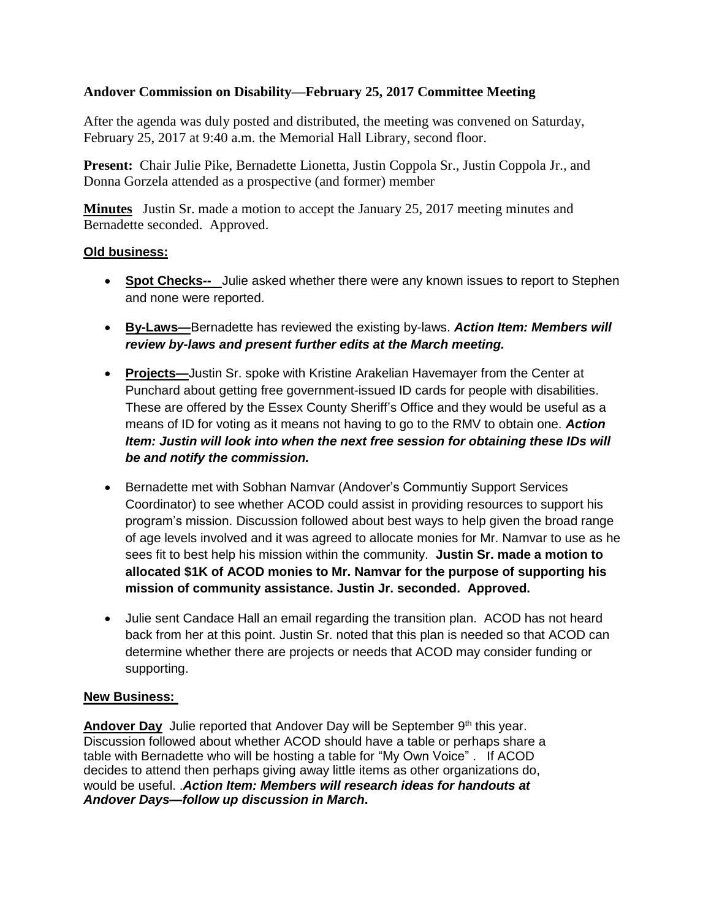## **Andover Commission on Disability—February 25, 2017 Committee Meeting**

After the agenda was duly posted and distributed, the meeting was convened on Saturday, February 25, 2017 at 9:40 a.m. the Memorial Hall Library, second floor.

Present: Chair Julie Pike, Bernadette Lionetta, Justin Coppola Sr., Justin Coppola Jr., and Donna Gorzela attended as a prospective (and former) member

**Minutes** Justin Sr. made a motion to accept the January 25, 2017 meeting minutes and Bernadette seconded. Approved.

### **Old business:**

- **Spot Checks--** Julie asked whether there were any known issues to report to Stephen and none were reported.
- **By-Laws—**Bernadette has reviewed the existing by-laws. *Action Item: Members will review by-laws and present further edits at the March meeting.*
- **Projects—**Justin Sr. spoke with Kristine Arakelian Havemayer from the Center at Punchard about getting free government-issued ID cards for people with disabilities. These are offered by the Essex County Sheriff's Office and they would be useful as a means of ID for voting as it means not having to go to the RMV to obtain one. *Action Item: Justin will look into when the next free session for obtaining these IDs will be and notify the commission.*
- Bernadette met with Sobhan Namvar (Andover's Communtiy Support Services Coordinator) to see whether ACOD could assist in providing resources to support his program's mission. Discussion followed about best ways to help given the broad range of age levels involved and it was agreed to allocate monies for Mr. Namvar to use as he sees fit to best help his mission within the community. **Justin Sr. made a motion to allocated \$1K of ACOD monies to Mr. Namvar for the purpose of supporting his mission of community assistance. Justin Jr. seconded. Approved.**
- Julie sent Candace Hall an email regarding the transition plan. ACOD has not heard back from her at this point. Justin Sr. noted that this plan is needed so that ACOD can determine whether there are projects or needs that ACOD may consider funding or supporting.

### **New Business:**

Andover Day Julie reported that Andover Day will be September 9<sup>th</sup> this year. Discussion followed about whether ACOD should have a table or perhaps share a table with Bernadette who will be hosting a table for "My Own Voice" . If ACOD decides to attend then perhaps giving away little items as other organizations do, would be useful. .*Action Item: Members will research ideas for handouts at Andover Days—follow up discussion in March***.**